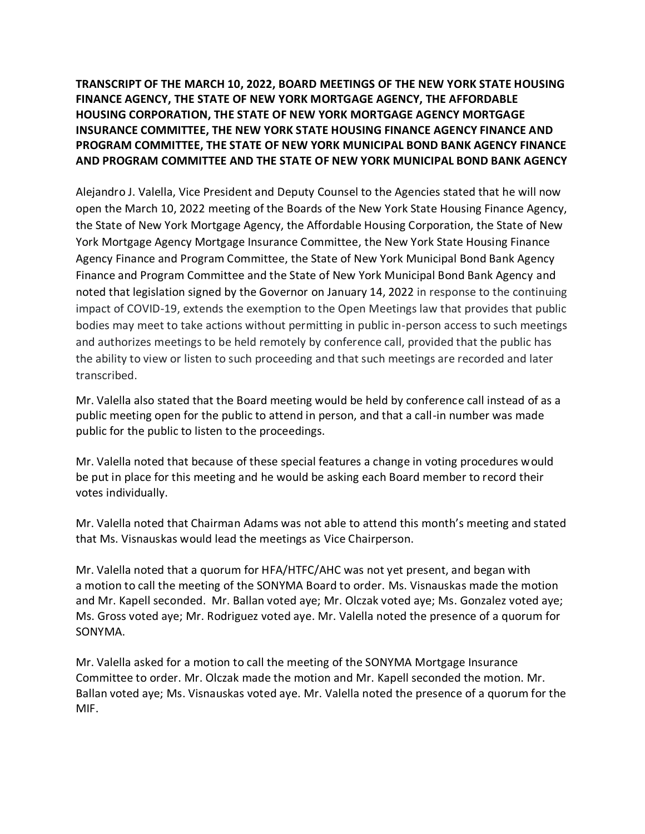**TRANSCRIPT OF THE MARCH 10, 2022, BOARD MEETINGS OF THE NEW YORK STATE HOUSING FINANCE AGENCY, THE STATE OF NEW YORK MORTGAGE AGENCY, THE AFFORDABLE HOUSING CORPORATION, THE STATE OF NEW YORK MORTGAGE AGENCY MORTGAGE INSURANCE COMMITTEE, THE NEW YORK STATE HOUSING FINANCE AGENCY FINANCE AND PROGRAM COMMITTEE, THE STATE OF NEW YORK MUNICIPAL BOND BANK AGENCY FINANCE AND PROGRAM COMMITTEE AND THE STATE OF NEW YORK MUNICIPAL BOND BANK AGENCY**

Alejandro J. Valella, Vice President and Deputy Counsel to the Agencies stated that he will now open the March 10, 2022 meeting of the Boards of the New York State Housing Finance Agency, the State of New York Mortgage Agency, the Affordable Housing Corporation, the State of New York Mortgage Agency Mortgage Insurance Committee, the New York State Housing Finance Agency Finance and Program Committee, the State of New York Municipal Bond Bank Agency Finance and Program Committee and the State of New York Municipal Bond Bank Agency and noted that legislation signed by the Governor on January 14, 2022 in response to the continuing impact of COVID-19, extends the exemption to the Open Meetings law that provides that public bodies may meet to take actions without permitting in public in-person access to such meetings and authorizes meetings to be held remotely by conference call, provided that the public has the ability to view or listen to such proceeding and that such meetings are recorded and later transcribed.

Mr. Valella also stated that the Board meeting would be held by conference call instead of as a public meeting open for the public to attend in person, and that a call-in number was made public for the public to listen to the proceedings.

Mr. Valella noted that because of these special features a change in voting procedures would be put in place for this meeting and he would be asking each Board member to record their votes individually.

Mr. Valella noted that Chairman Adams was not able to attend this month's meeting and stated that Ms. Visnauskas would lead the meetings as Vice Chairperson.

Mr. Valella noted that a quorum for HFA/HTFC/AHC was not yet present, and began with a motion to call the meeting of the SONYMA Board to order. Ms. Visnauskas made the motion and Mr. Kapell seconded. Mr. Ballan voted aye; Mr. Olczak voted aye; Ms. Gonzalez voted aye; Ms. Gross voted aye; Mr. Rodriguez voted aye. Mr. Valella noted the presence of a quorum for SONYMA.

Mr. Valella asked for a motion to call the meeting of the SONYMA Mortgage Insurance Committee to order. Mr. Olczak made the motion and Mr. Kapell seconded the motion. Mr. Ballan voted aye; Ms. Visnauskas voted aye. Mr. Valella noted the presence of a quorum for the MIF.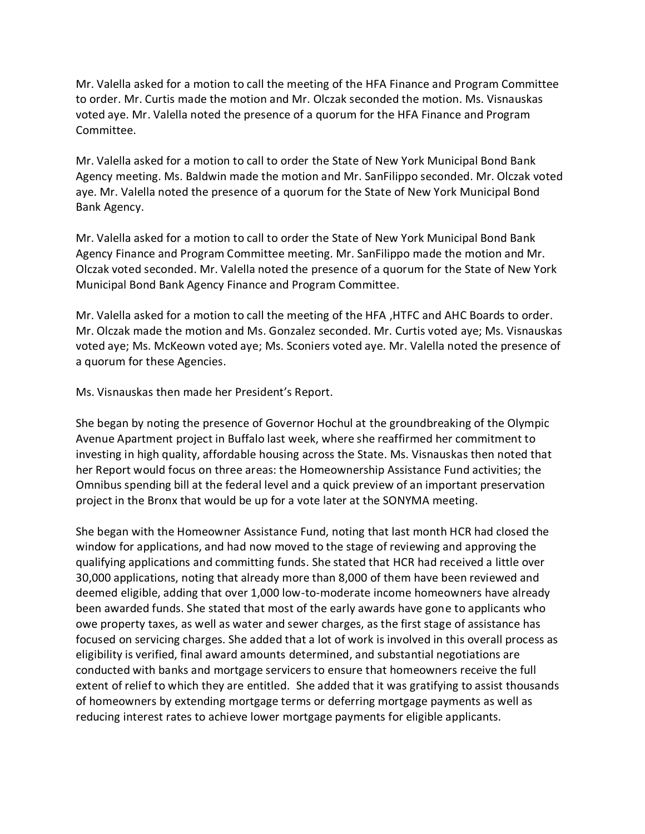Mr. Valella asked for a motion to call the meeting of the HFA Finance and Program Committee to order. Mr. Curtis made the motion and Mr. Olczak seconded the motion. Ms. Visnauskas voted aye. Mr. Valella noted the presence of a quorum for the HFA Finance and Program Committee.

Mr. Valella asked for a motion to call to order the State of New York Municipal Bond Bank Agency meeting. Ms. Baldwin made the motion and Mr. SanFilippo seconded. Mr. Olczak voted aye. Mr. Valella noted the presence of a quorum for the State of New York Municipal Bond Bank Agency.

Mr. Valella asked for a motion to call to order the State of New York Municipal Bond Bank Agency Finance and Program Committee meeting. Mr. SanFilippo made the motion and Mr. Olczak voted seconded. Mr. Valella noted the presence of a quorum for the State of New York Municipal Bond Bank Agency Finance and Program Committee.

Mr. Valella asked for a motion to call the meeting of the HFA ,HTFC and AHC Boards to order. Mr. Olczak made the motion and Ms. Gonzalez seconded. Mr. Curtis voted aye; Ms. Visnauskas voted aye; Ms. McKeown voted aye; Ms. Sconiers voted aye. Mr. Valella noted the presence of a quorum for these Agencies.

Ms. Visnauskas then made her President's Report.

She began by noting the presence of Governor Hochul at the groundbreaking of the Olympic Avenue Apartment project in Buffalo last week, where she reaffirmed her commitment to investing in high quality, affordable housing across the State. Ms. Visnauskas then noted that her Report would focus on three areas: the Homeownership Assistance Fund activities; the Omnibus spending bill at the federal level and a quick preview of an important preservation project in the Bronx that would be up for a vote later at the SONYMA meeting.

She began with the Homeowner Assistance Fund, noting that last month HCR had closed the window for applications, and had now moved to the stage of reviewing and approving the qualifying applications and committing funds. She stated that HCR had received a little over 30,000 applications, noting that already more than 8,000 of them have been reviewed and deemed eligible, adding that over 1,000 low-to-moderate income homeowners have already been awarded funds. She stated that most of the early awards have gone to applicants who owe property taxes, as well as water and sewer charges, as the first stage of assistance has focused on servicing charges. She added that a lot of work is involved in this overall process as eligibility is verified, final award amounts determined, and substantial negotiations are conducted with banks and mortgage servicers to ensure that homeowners receive the full extent of relief to which they are entitled. She added that it was gratifying to assist thousands of homeowners by extending mortgage terms or deferring mortgage payments as well as reducing interest rates to achieve lower mortgage payments for eligible applicants.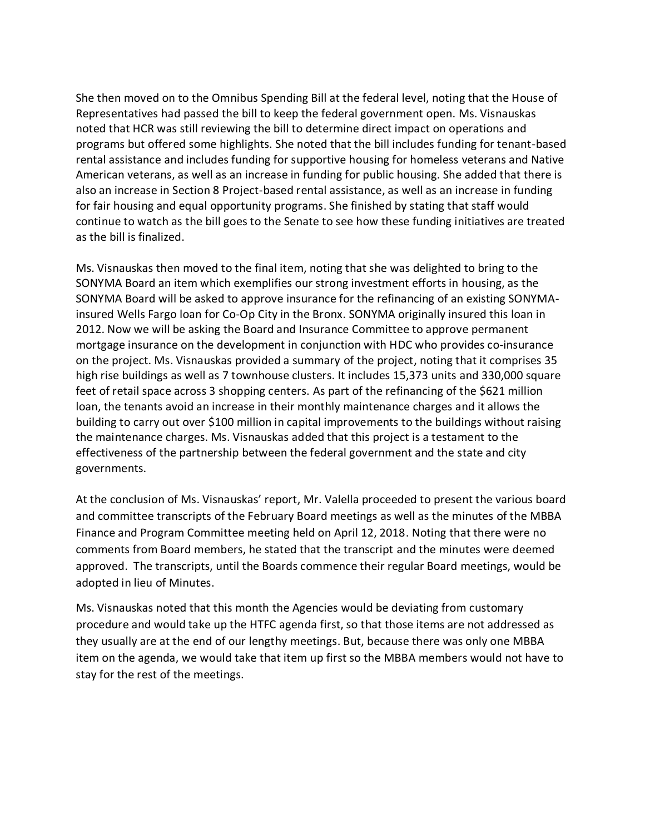She then moved on to the Omnibus Spending Bill at the federal level, noting that the House of Representatives had passed the bill to keep the federal government open. Ms. Visnauskas noted that HCR was still reviewing the bill to determine direct impact on operations and programs but offered some highlights. She noted that the bill includes funding for tenant-based rental assistance and includes funding for supportive housing for homeless veterans and Native American veterans, as well as an increase in funding for public housing. She added that there is also an increase in Section 8 Project-based rental assistance, as well as an increase in funding for fair housing and equal opportunity programs. She finished by stating that staff would continue to watch as the bill goes to the Senate to see how these funding initiatives are treated as the bill is finalized.

Ms. Visnauskas then moved to the final item, noting that she was delighted to bring to the SONYMA Board an item which exemplifies our strong investment efforts in housing, as the SONYMA Board will be asked to approve insurance for the refinancing of an existing SONYMAinsured Wells Fargo loan for Co-Op City in the Bronx. SONYMA originally insured this loan in 2012. Now we will be asking the Board and Insurance Committee to approve permanent mortgage insurance on the development in conjunction with HDC who provides co-insurance on the project. Ms. Visnauskas provided a summary of the project, noting that it comprises 35 high rise buildings as well as 7 townhouse clusters. It includes 15,373 units and 330,000 square feet of retail space across 3 shopping centers. As part of the refinancing of the \$621 million loan, the tenants avoid an increase in their monthly maintenance charges and it allows the building to carry out over \$100 million in capital improvements to the buildings without raising the maintenance charges. Ms. Visnauskas added that this project is a testament to the effectiveness of the partnership between the federal government and the state and city governments.

At the conclusion of Ms. Visnauskas' report, Mr. Valella proceeded to present the various board and committee transcripts of the February Board meetings as well as the minutes of the MBBA Finance and Program Committee meeting held on April 12, 2018. Noting that there were no comments from Board members, he stated that the transcript and the minutes were deemed approved. The transcripts, until the Boards commence their regular Board meetings, would be adopted in lieu of Minutes.

Ms. Visnauskas noted that this month the Agencies would be deviating from customary procedure and would take up the HTFC agenda first, so that those items are not addressed as they usually are at the end of our lengthy meetings. But, because there was only one MBBA item on the agenda, we would take that item up first so the MBBA members would not have to stay for the rest of the meetings.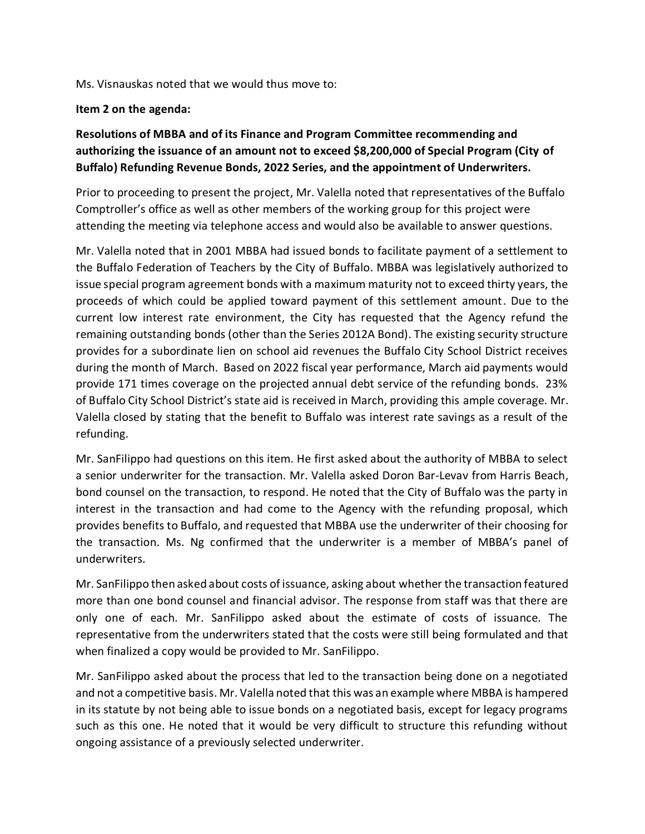#### Ms. Visnauskas noted that we would thus move to:

#### **Item 2 on the agenda:**

## **Resolutions of MBBA and of its Finance and Program Committee recommending and authorizing the issuance of an amount not to exceed \$8,200,000 of Special Program (City of Buffalo) Refunding Revenue Bonds, 2022 Series, and the appointment of Underwriters.**

Prior to proceeding to present the project, Mr. Valella noted that representatives of the Buffalo Comptroller's office as well as other members of the working group for this project were attending the meeting via telephone access and would also be available to answer questions.

Mr. Valella noted that in 2001 MBBA had issued bonds to facilitate payment of a settlement to the Buffalo Federation of Teachers by the City of Buffalo. MBBA was legislatively authorized to issue special program agreement bonds with a maximum maturity not to exceed thirty years, the proceeds of which could be applied toward payment of this settlement amount. Due to the current low interest rate environment, the City has requested that the Agency refund the remaining outstanding bonds (other than the Series 2012A Bond). The existing security structure provides for a subordinate lien on school aid revenues the Buffalo City School District receives during the month of March. Based on 2022 fiscal year performance, March aid payments would provide 171 times coverage on the projected annual debt service of the refunding bonds. 23% of Buffalo City School District's state aid is received in March, providing this ample coverage. Mr. Valella closed by stating that the benefit to Buffalo was interest rate savings as a result of the refunding.

Mr. SanFilippo had questions on this item. He first asked about the authority of MBBA to select a senior underwriter for the transaction. Mr. Valella asked Doron Bar-Levav from Harris Beach, bond counsel on the transaction, to respond. He noted that the City of Buffalo was the party in interest in the transaction and had come to the Agency with the refunding proposal, which provides benefits to Buffalo, and requested that MBBA use the underwriter of their choosing for the transaction. Ms. Ng confirmed that the underwriter is a member of MBBA's panel of underwriters.

Mr. SanFilippo then asked about costs of issuance, asking about whether the transaction featured more than one bond counsel and financial advisor. The response from staff was that there are only one of each. Mr. SanFilippo asked about the estimate of costs of issuance. The representative from the underwriters stated that the costs were still being formulated and that when finalized a copy would be provided to Mr. SanFilippo.

Mr. SanFilippo asked about the process that led to the transaction being done on a negotiated and not a competitive basis. Mr. Valella noted that this was an example where MBBA is hampered in its statute by not being able to issue bonds on a negotiated basis, except for legacy programs such as this one. He noted that it would be very difficult to structure this refunding without ongoing assistance of a previously selected underwriter.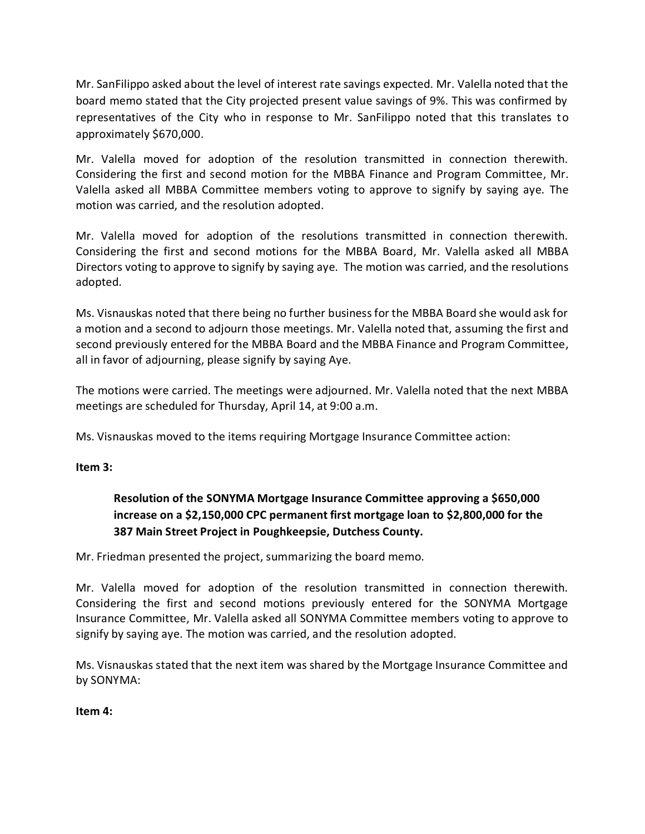Mr. SanFilippo asked about the level of interest rate savings expected. Mr. Valella noted that the board memo stated that the City projected present value savings of 9%. This was confirmed by representatives of the City who in response to Mr. SanFilippo noted that this translates to approximately \$670,000.

Mr. Valella moved for adoption of the resolution transmitted in connection therewith. Considering the first and second motion for the MBBA Finance and Program Committee, Mr. Valella asked all MBBA Committee members voting to approve to signify by saying aye. The motion was carried, and the resolution adopted.

Mr. Valella moved for adoption of the resolutions transmitted in connection therewith. Considering the first and second motions for the MBBA Board, Mr. Valella asked all MBBA Directors voting to approve to signify by saying aye. The motion was carried, and the resolutions adopted.

Ms. Visnauskas noted that there being no further business for the MBBA Board she would ask for a motion and a second to adjourn those meetings. Mr. Valella noted that, assuming the first and second previously entered for the MBBA Board and the MBBA Finance and Program Committee, all in favor of adjourning, please signify by saying Aye.

The motions were carried. The meetings were adjourned. Mr. Valella noted that the next MBBA meetings are scheduled for Thursday, April 14, at 9:00 a.m.

Ms. Visnauskas moved to the items requiring Mortgage Insurance Committee action:

#### **Item 3:**

# **Resolution of the SONYMA Mortgage Insurance Committee approving a \$650,000 increase on a \$2,150,000 CPC permanent first mortgage loan to \$2,800,000 for the 387 Main Street Project in Poughkeepsie, Dutchess County.**

Mr. Friedman presented the project, summarizing the board memo.

Mr. Valella moved for adoption of the resolution transmitted in connection therewith. Considering the first and second motions previously entered for the SONYMA Mortgage Insurance Committee, Mr. Valella asked all SONYMA Committee members voting to approve to signify by saying aye. The motion was carried, and the resolution adopted.

Ms. Visnauskas stated that the next item was shared by the Mortgage Insurance Committee and by SONYMA:

## **Item 4:**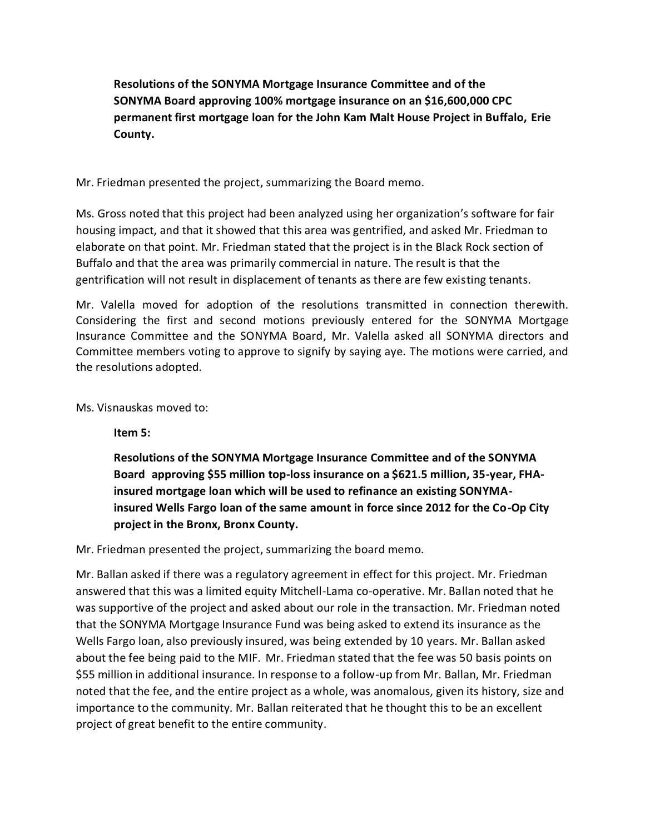**Resolutions of the SONYMA Mortgage Insurance Committee and of the SONYMA Board approving 100% mortgage insurance on an \$16,600,000 CPC permanent first mortgage loan for the John Kam Malt House Project in Buffalo, Erie County.**

Mr. Friedman presented the project, summarizing the Board memo.

Ms. Gross noted that this project had been analyzed using her organization's software for fair housing impact, and that it showed that this area was gentrified, and asked Mr. Friedman to elaborate on that point. Mr. Friedman stated that the project is in the Black Rock section of Buffalo and that the area was primarily commercial in nature. The result is that the gentrification will not result in displacement of tenants as there are few existing tenants.

Mr. Valella moved for adoption of the resolutions transmitted in connection therewith. Considering the first and second motions previously entered for the SONYMA Mortgage Insurance Committee and the SONYMA Board, Mr. Valella asked all SONYMA directors and Committee members voting to approve to signify by saying aye. The motions were carried, and the resolutions adopted.

Ms. Visnauskas moved to:

**Item 5:**

**Resolutions of the SONYMA Mortgage Insurance Committee and of the SONYMA Board approving \$55 million top-loss insurance on a \$621.5 million, 35-year, FHAinsured mortgage loan which will be used to refinance an existing SONYMAinsured Wells Fargo loan of the same amount in force since 2012 for the Co-Op City project in the Bronx, Bronx County.**

Mr. Friedman presented the project, summarizing the board memo.

Mr. Ballan asked if there was a regulatory agreement in effect for this project. Mr. Friedman answered that this was a limited equity Mitchell-Lama co-operative. Mr. Ballan noted that he was supportive of the project and asked about our role in the transaction. Mr. Friedman noted that the SONYMA Mortgage Insurance Fund was being asked to extend its insurance as the Wells Fargo loan, also previously insured, was being extended by 10 years. Mr. Ballan asked about the fee being paid to the MIF. Mr. Friedman stated that the fee was 50 basis points on \$55 million in additional insurance. In response to a follow-up from Mr. Ballan, Mr. Friedman noted that the fee, and the entire project as a whole, was anomalous, given its history, size and importance to the community. Mr. Ballan reiterated that he thought this to be an excellent project of great benefit to the entire community.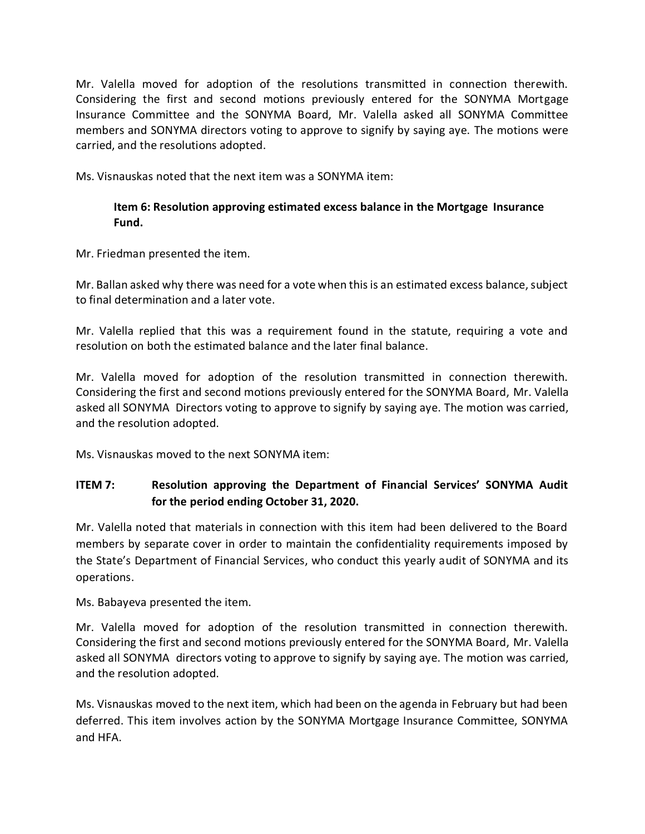Mr. Valella moved for adoption of the resolutions transmitted in connection therewith. Considering the first and second motions previously entered for the SONYMA Mortgage Insurance Committee and the SONYMA Board, Mr. Valella asked all SONYMA Committee members and SONYMA directors voting to approve to signify by saying aye. The motions were carried, and the resolutions adopted.

Ms. Visnauskas noted that the next item was a SONYMA item:

## **Item 6: Resolution approving estimated excess balance in the Mortgage Insurance Fund.**

Mr. Friedman presented the item.

Mr. Ballan asked why there was need for a vote when this is an estimated excess balance, subject to final determination and a later vote.

Mr. Valella replied that this was a requirement found in the statute, requiring a vote and resolution on both the estimated balance and the later final balance.

Mr. Valella moved for adoption of the resolution transmitted in connection therewith. Considering the first and second motions previously entered for the SONYMA Board, Mr. Valella asked all SONYMA Directors voting to approve to signify by saying aye. The motion was carried, and the resolution adopted.

Ms. Visnauskas moved to the next SONYMA item:

# **ITEM 7: Resolution approving the Department of Financial Services' SONYMA Audit for the period ending October 31, 2020.**

Mr. Valella noted that materials in connection with this item had been delivered to the Board members by separate cover in order to maintain the confidentiality requirements imposed by the State's Department of Financial Services, who conduct this yearly audit of SONYMA and its operations.

Ms. Babayeva presented the item.

Mr. Valella moved for adoption of the resolution transmitted in connection therewith. Considering the first and second motions previously entered for the SONYMA Board, Mr. Valella asked all SONYMA directors voting to approve to signify by saying aye. The motion was carried, and the resolution adopted.

Ms. Visnauskas moved to the next item, which had been on the agenda in February but had been deferred. This item involves action by the SONYMA Mortgage Insurance Committee, SONYMA and HFA.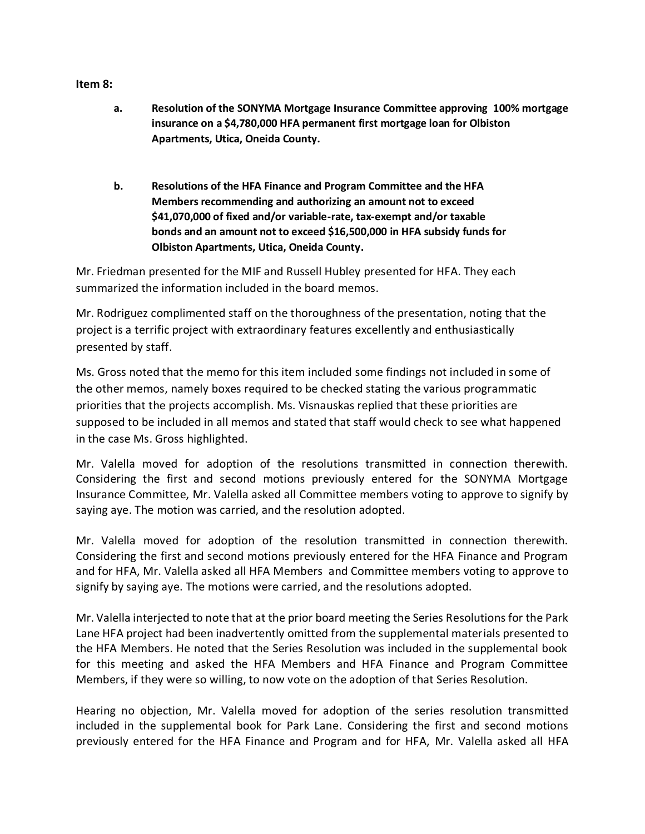**Item 8:** 

- **a. Resolution of the SONYMA Mortgage Insurance Committee approving 100% mortgage insurance on a \$4,780,000 HFA permanent first mortgage loan for Olbiston Apartments, Utica, Oneida County.**
- **b. Resolutions of the HFA Finance and Program Committee and the HFA Members recommending and authorizing an amount not to exceed \$41,070,000 of fixed and/or variable-rate, tax-exempt and/or taxable bonds and an amount not to exceed \$16,500,000 in HFA subsidy funds for Olbiston Apartments, Utica, Oneida County.**

Mr. Friedman presented for the MIF and Russell Hubley presented for HFA. They each summarized the information included in the board memos.

Mr. Rodriguez complimented staff on the thoroughness of the presentation, noting that the project is a terrific project with extraordinary features excellently and enthusiastically presented by staff.

Ms. Gross noted that the memo for this item included some findings not included in some of the other memos, namely boxes required to be checked stating the various programmatic priorities that the projects accomplish. Ms. Visnauskas replied that these priorities are supposed to be included in all memos and stated that staff would check to see what happened in the case Ms. Gross highlighted.

Mr. Valella moved for adoption of the resolutions transmitted in connection therewith. Considering the first and second motions previously entered for the SONYMA Mortgage Insurance Committee, Mr. Valella asked all Committee members voting to approve to signify by saying aye. The motion was carried, and the resolution adopted.

Mr. Valella moved for adoption of the resolution transmitted in connection therewith. Considering the first and second motions previously entered for the HFA Finance and Program and for HFA, Mr. Valella asked all HFA Members and Committee members voting to approve to signify by saying aye. The motions were carried, and the resolutions adopted.

Mr. Valella interjected to note that at the prior board meeting the Series Resolutions for the Park Lane HFA project had been inadvertently omitted from the supplemental materials presented to the HFA Members. He noted that the Series Resolution was included in the supplemental book for this meeting and asked the HFA Members and HFA Finance and Program Committee Members, if they were so willing, to now vote on the adoption of that Series Resolution.

Hearing no objection, Mr. Valella moved for adoption of the series resolution transmitted included in the supplemental book for Park Lane. Considering the first and second motions previously entered for the HFA Finance and Program and for HFA, Mr. Valella asked all HFA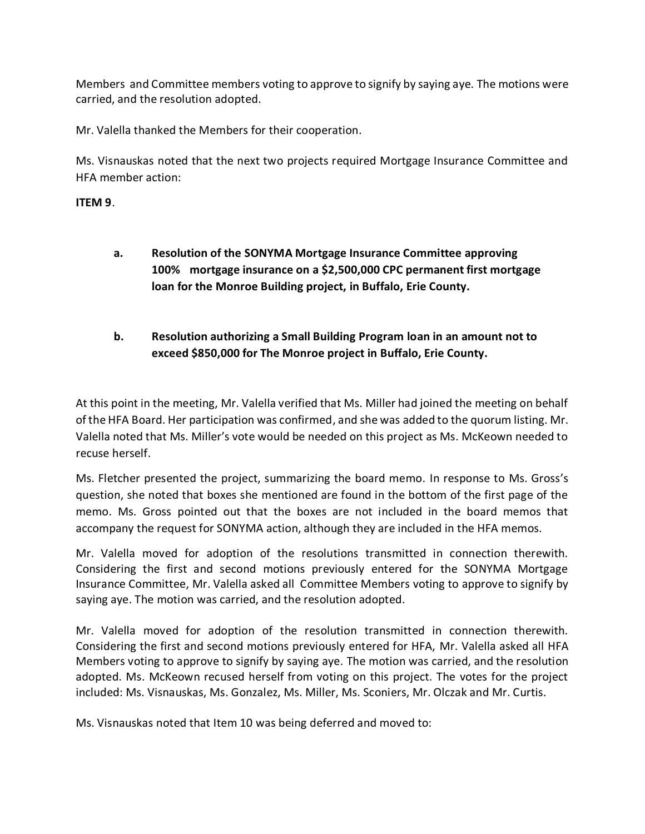Members and Committee members voting to approve to signify by saying aye. The motions were carried, and the resolution adopted.

Mr. Valella thanked the Members for their cooperation.

Ms. Visnauskas noted that the next two projects required Mortgage Insurance Committee and HFA member action:

## **ITEM 9**.

- **a. Resolution of the SONYMA Mortgage Insurance Committee approving 100% mortgage insurance on a \$2,500,000 CPC permanent first mortgage loan for the Monroe Building project, in Buffalo, Erie County.**
- **b. Resolution authorizing a Small Building Program loan in an amount not to exceed \$850,000 for The Monroe project in Buffalo, Erie County.**

At this point in the meeting, Mr. Valella verified that Ms. Miller had joined the meeting on behalf of the HFA Board. Her participation was confirmed, and she was added to the quorum listing. Mr. Valella noted that Ms. Miller's vote would be needed on this project as Ms. McKeown needed to recuse herself.

Ms. Fletcher presented the project, summarizing the board memo. In response to Ms. Gross's question, she noted that boxes she mentioned are found in the bottom of the first page of the memo. Ms. Gross pointed out that the boxes are not included in the board memos that accompany the request for SONYMA action, although they are included in the HFA memos.

Mr. Valella moved for adoption of the resolutions transmitted in connection therewith. Considering the first and second motions previously entered for the SONYMA Mortgage Insurance Committee, Mr. Valella asked all Committee Members voting to approve to signify by saying aye. The motion was carried, and the resolution adopted.

Mr. Valella moved for adoption of the resolution transmitted in connection therewith. Considering the first and second motions previously entered for HFA, Mr. Valella asked all HFA Members voting to approve to signify by saying aye. The motion was carried, and the resolution adopted. Ms. McKeown recused herself from voting on this project. The votes for the project included: Ms. Visnauskas, Ms. Gonzalez, Ms. Miller, Ms. Sconiers, Mr. Olczak and Mr. Curtis.

Ms. Visnauskas noted that Item 10 was being deferred and moved to: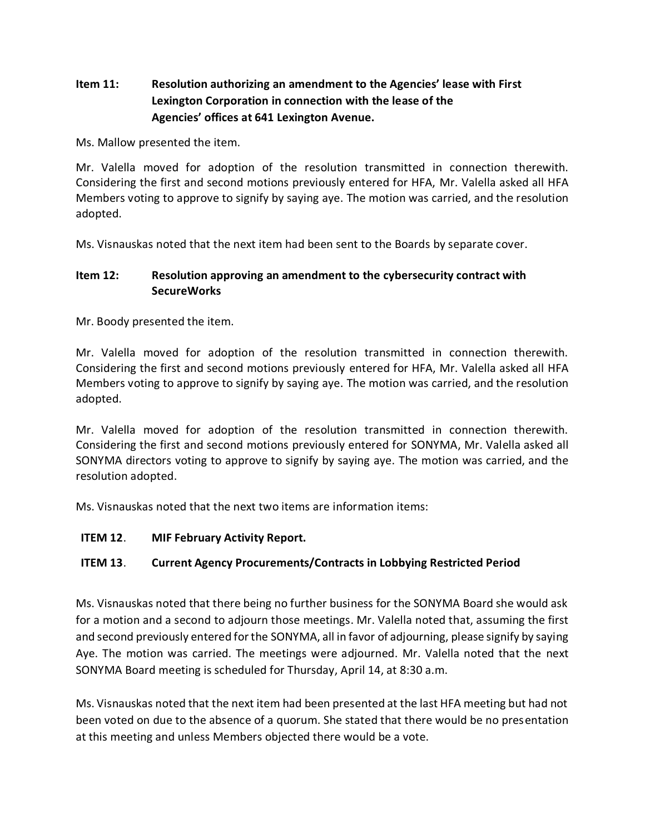## **Item 11: Resolution authorizing an amendment to the Agencies' lease with First Lexington Corporation in connection with the lease of the Agencies' offices at 641 Lexington Avenue.**

Ms. Mallow presented the item.

Mr. Valella moved for adoption of the resolution transmitted in connection therewith. Considering the first and second motions previously entered for HFA, Mr. Valella asked all HFA Members voting to approve to signify by saying aye. The motion was carried, and the resolution adopted.

Ms. Visnauskas noted that the next item had been sent to the Boards by separate cover.

#### **Item 12: Resolution approving an amendment to the cybersecurity contract with SecureWorks**

Mr. Boody presented the item.

Mr. Valella moved for adoption of the resolution transmitted in connection therewith. Considering the first and second motions previously entered for HFA, Mr. Valella asked all HFA Members voting to approve to signify by saying aye. The motion was carried, and the resolution adopted.

Mr. Valella moved for adoption of the resolution transmitted in connection therewith. Considering the first and second motions previously entered for SONYMA, Mr. Valella asked all SONYMA directors voting to approve to signify by saying aye. The motion was carried, and the resolution adopted.

Ms. Visnauskas noted that the next two items are information items:

## **ITEM 12**. **MIF February Activity Report.**

## **ITEM 13**. **Current Agency Procurements/Contracts in Lobbying Restricted Period**

Ms. Visnauskas noted that there being no further business for the SONYMA Board she would ask for a motion and a second to adjourn those meetings. Mr. Valella noted that, assuming the first and second previously entered for the SONYMA, all in favor of adjourning, please signify by saying Aye. The motion was carried. The meetings were adjourned. Mr. Valella noted that the next SONYMA Board meeting is scheduled for Thursday, April 14, at 8:30 a.m.

Ms. Visnauskas noted that the next item had been presented at the last HFA meeting but had not been voted on due to the absence of a quorum. She stated that there would be no presentation at this meeting and unless Members objected there would be a vote.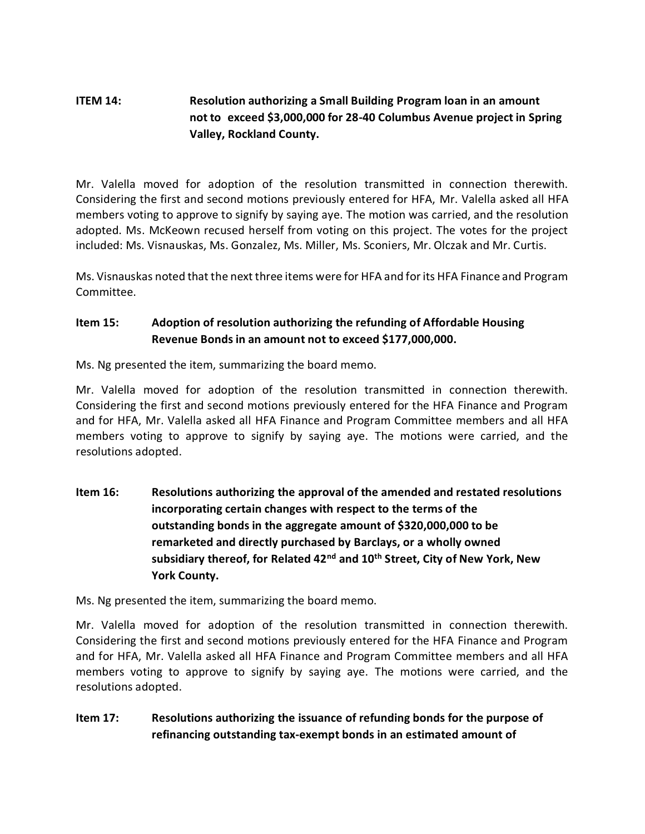# **ITEM 14: Resolution authorizing a Small Building Program loan in an amount not to exceed \$3,000,000 for 28-40 Columbus Avenue project in Spring Valley, Rockland County.**

Mr. Valella moved for adoption of the resolution transmitted in connection therewith. Considering the first and second motions previously entered for HFA, Mr. Valella asked all HFA members voting to approve to signify by saying aye. The motion was carried, and the resolution adopted. Ms. McKeown recused herself from voting on this project. The votes for the project included: Ms. Visnauskas, Ms. Gonzalez, Ms. Miller, Ms. Sconiers, Mr. Olczak and Mr. Curtis.

Ms. Visnauskas noted that the next three items were for HFA and for its HFA Finance and Program Committee.

## **Item 15: Adoption of resolution authorizing the refunding of Affordable Housing Revenue Bonds in an amount not to exceed \$177,000,000.**

Ms. Ng presented the item, summarizing the board memo.

Mr. Valella moved for adoption of the resolution transmitted in connection therewith. Considering the first and second motions previously entered for the HFA Finance and Program and for HFA, Mr. Valella asked all HFA Finance and Program Committee members and all HFA members voting to approve to signify by saying aye. The motions were carried, and the resolutions adopted.

**Item 16: Resolutions authorizing the approval of the amended and restated resolutions incorporating certain changes with respect to the terms of the outstanding bonds in the aggregate amount of \$320,000,000 to be remarketed and directly purchased by Barclays, or a wholly owned subsidiary thereof, for Related 42nd and 10th Street, City of New York, New York County.**

Ms. Ng presented the item, summarizing the board memo.

Mr. Valella moved for adoption of the resolution transmitted in connection therewith. Considering the first and second motions previously entered for the HFA Finance and Program and for HFA, Mr. Valella asked all HFA Finance and Program Committee members and all HFA members voting to approve to signify by saying aye. The motions were carried, and the resolutions adopted.

## **Item 17: Resolutions authorizing the issuance of refunding bonds for the purpose of refinancing outstanding tax-exempt bonds in an estimated amount of**